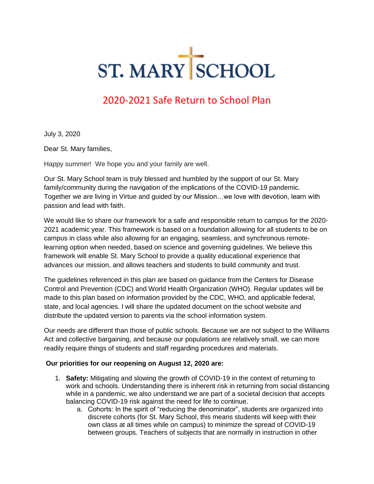# ST. MARY SCHOOL

#### 2020-2021 Safe Return to School Plan

July 3, 2020

Dear St. Mary families,

Happy summer! We hope you and your family are well.

Our St. Mary School team is truly blessed and humbled by the support of our St. Mary family/community during the navigation of the implications of the COVID-19 pandemic. Together we are living in Virtue and guided by our Mission…we love with devotion, learn with passion and lead with faith.

We would like to share our framework for a safe and responsible return to campus for the 2020- 2021 academic year. This framework is based on a foundation allowing for all students to be on campus in class while also allowing for an engaging, seamless, and synchronous remotelearning option when needed, based on science and governing guidelines. We believe this framework will enable St. Mary School to provide a quality educational experience that advances our mission, and allows teachers and students to build community and trust.

The guidelines referenced in this plan are based on guidance from the Centers for Disease Control and Prevention (CDC) and World Health Organization (WHO). Regular updates will be made to this plan based on information provided by the CDC, WHO, and applicable federal, state, and local agencies. l will share the updated document on the school website and distribute the updated version to parents via the school information system.

Our needs are different than those of public schools. Because we are not subject to the Williams Act and collective bargaining, and because our populations are relatively small, we can more readily require things of students and staff regarding procedures and materials.

#### **Our priorities for our reopening on August 12, 2020 are:**

- 1. **Safety:** Mitigating and slowing the growth of COVID-19 in the context of returning to work and schools. Understanding there is inherent risk in returning from social distancing while in a pandemic, we also understand we are part of a societal decision that accepts balancing COVID-19 risk against the need for life to continue.
	- a. Cohorts: In the spirit of "reducing the denominator", students are organized into discrete cohorts (for St. Mary School, this means students will keep with their own class at all times while on campus) to minimize the spread of COVID-19 between groups. Teachers of subjects that are normally in instruction in other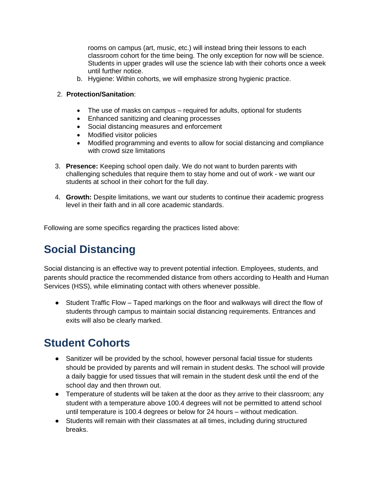rooms on campus (art, music, etc.) will instead bring their lessons to each classroom cohort for the time being. The only exception for now will be science. Students in upper grades will use the science lab with their cohorts once a week until further notice.

b. Hygiene: Within cohorts, we will emphasize strong hygienic practice.

#### 2. **Protection/Sanitation**:

- The use of masks on campus required for adults, optional for students
- Enhanced sanitizing and cleaning processes
- Social distancing measures and enforcement
- Modified visitor policies
- Modified programming and events to allow for social distancing and compliance with crowd size limitations
- 3. **Presence:** Keeping school open daily. We do not want to burden parents with challenging schedules that require them to stay home and out of work - we want our students at school in their cohort for the full day.
- 4. **Growth:** Despite limitations, we want our students to continue their academic progress level in their faith and in all core academic standards.

Following are some specifics regarding the practices listed above:

# **Social Distancing**

Social distancing is an effective way to prevent potential infection. Employees, students, and parents should practice the recommended distance from others according to Health and Human Services (HSS), while eliminating contact with others whenever possible.

● Student Traffic Flow – Taped markings on the floor and walkways will direct the flow of students through campus to maintain social distancing requirements. Entrances and exits will also be clearly marked.

# **Student Cohorts**

- Sanitizer will be provided by the school, however personal facial tissue for students should be provided by parents and will remain in student desks. The school will provide a daily baggie for used tissues that will remain in the student desk until the end of the school day and then thrown out.
- Temperature of students will be taken at the door as they arrive to their classroom; any student with a temperature above 100.4 degrees will not be permitted to attend school until temperature is 100.4 degrees or below for 24 hours – without medication.
- Students will remain with their classmates at all times, including during structured breaks.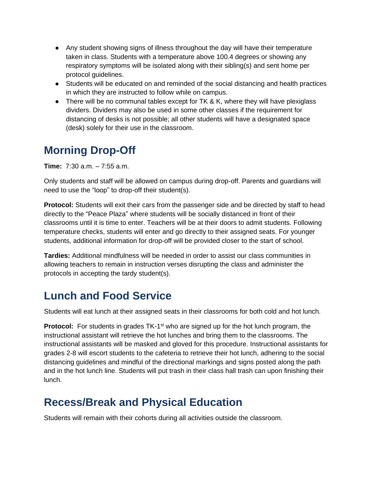- Any student showing signs of illness throughout the day will have their temperature taken in class. Students with a temperature above 100.4 degrees or showing any respiratory symptoms will be isolated along with their sibling(s) and sent home per protocol guidelines.
- Students will be educated on and reminded of the social distancing and health practices in which they are instructed to follow while on campus.
- There will be no communal tables except for TK & K, where they will have plexiglass dividers. Dividers may also be used in some other classes if the requirement for distancing of desks is not possible; all other students will have a designated space (desk) solely for their use in the classroom.

# **Morning Drop-Off**

**Time:** 7:30 a.m. – 7:55 a.m.

Only students and staff will be allowed on campus during drop-off. Parents and guardians will need to use the "loop" to drop-off their student(s).

**Protocol:** Students will exit their cars from the passenger side and be directed by staff to head directly to the "Peace Plaza" where students will be socially distanced in front of their classrooms until it is time to enter. Teachers will be at their doors to admit students. Following temperature checks, students will enter and go directly to their assigned seats. For younger students, additional information for drop-off will be provided closer to the start of school.

**Tardies:** Additional mindfulness will be needed in order to assist our class communities in allowing teachers to remain in instruction verses disrupting the class and administer the protocols in accepting the tardy student(s).

# **Lunch and Food Service**

Students will eat lunch at their assigned seats in their classrooms for both cold and hot lunch.

**Protocol:** For students in grades TK-1<sup>st</sup> who are signed up for the hot lunch program, the instructional assistant will retrieve the hot lunches and bring them to the classrooms. The instructional assistants will be masked and gloved for this procedure. Instructional assistants for grades 2-8 will escort students to the cafeteria to retrieve their hot lunch, adhering to the social distancing guidelines and mindful of the directional markings and signs posted along the path and in the hot lunch line. Students will put trash in their class hall trash can upon finishing their lunch.

# **Recess/Break and Physical Education**

Students will remain with their cohorts during all activities outside the classroom.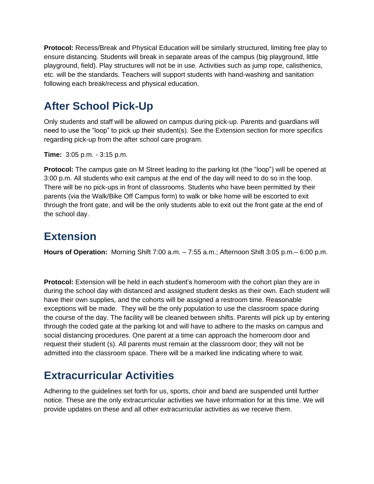**Protocol:** Recess/Break and Physical Education will be similarly structured, limiting free play to ensure distancing. Students will break in separate areas of the campus (big playground, little playground, field). Play structures will not be in use. Activities such as jump rope, calisthenics, etc. will be the standards. Teachers will support students with hand-washing and sanitation following each break/recess and physical education.

# **After School Pick-Up**

Only students and staff will be allowed on campus during pick-up. Parents and guardians will need to use the "loop" to pick up their student(s). See the Extension section for more specifics regarding pick-up from the after school care program.

**Time:** 3:05 p.m. - 3:15 p.m.

**Protocol:** The campus gate on M Street leading to the parking lot (the "loop") will be opened at 3:00 p.m. All students who exit campus at the end of the day will need to do so in the loop. There will be no pick-ups in front of classrooms. Students who have been permitted by their parents (via the Walk/Bike Off Campus form) to walk or bike home will be escorted to exit through the front gate, and will be the only students able to exit out the front gate at the end of the school day.

#### **Extension**

**Hours of Operation:** Morning Shift 7:00 a.m. – 7:55 a.m.; Afternoon Shift 3:05 p.m.– 6:00 p.m.

**Protocol:** Extension will be held in each student's homeroom with the cohort plan they are in during the school day with distanced and assigned student desks as their own. Each student will have their own supplies, and the cohorts will be assigned a restroom time. Reasonable exceptions will be made. They will be the only population to use the classroom space during the course of the day. The facility will be cleaned between shifts. Parents will pick up by entering through the coded gate at the parking lot and will have to adhere to the masks on campus and social distancing procedures. One parent at a time can approach the homeroom door and request their student (s). All parents must remain at the classroom door; they will not be admitted into the classroom space. There will be a marked line indicating where to wait.

# **Extracurricular Activities**

Adhering to the guidelines set forth for us, sports, choir and band are suspended until further notice. These are the only extracurricular activities we have information for at this time. We will provide updates on these and all other extracurricular activities as we receive them.